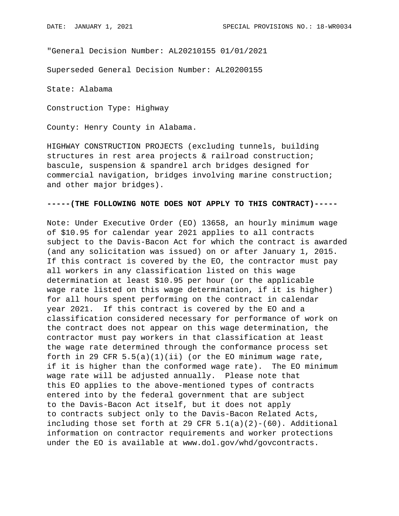"General Decision Number: AL20210155 01/01/2021

Superseded General Decision Number: AL20200155

State: Alabama

Construction Type: Highway

County: Henry County in Alabama.

HIGHWAY CONSTRUCTION PROJECTS (excluding tunnels, building structures in rest area projects & railroad construction; bascule, suspension & spandrel arch bridges designed for commercial navigation, bridges involving marine construction; and other major bridges).

## **-----(THE FOLLOWING NOTE DOES NOT APPLY TO THIS CONTRACT)-----**

Note: Under Executive Order (EO) 13658, an hourly minimum wage of \$10.95 for calendar year 2021 applies to all contracts subject to the Davis-Bacon Act for which the contract is awarded (and any solicitation was issued) on or after January 1, 2015. If this contract is covered by the EO, the contractor must pay all workers in any classification listed on this wage determination at least \$10.95 per hour (or the applicable wage rate listed on this wage determination, if it is higher) for all hours spent performing on the contract in calendar year 2021. If this contract is covered by the EO and a classification considered necessary for performance of work on the contract does not appear on this wage determination, the contractor must pay workers in that classification at least the wage rate determined through the conformance process set forth in 29 CFR  $5.5(a)(1)(ii)$  (or the EO minimum wage rate, if it is higher than the conformed wage rate). The EO minimum wage rate will be adjusted annually. Please note that this EO applies to the above-mentioned types of contracts entered into by the federal government that are subject to the Davis-Bacon Act itself, but it does not apply to contracts subject only to the Davis-Bacon Related Acts, including those set forth at 29 CFR  $5.1(a)(2)-(60)$ . Additional information on contractor requirements and worker protections under the EO is available at www.dol.gov/whd/govcontracts.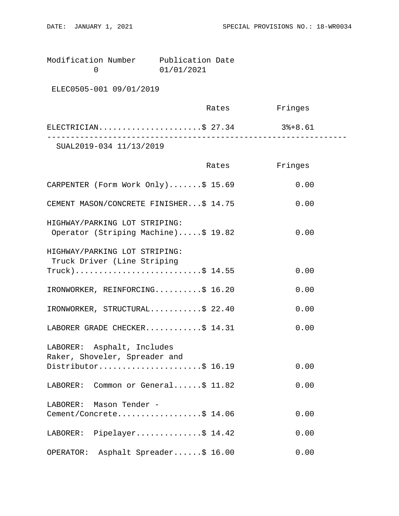Modification Number Publication Date<br>0 01/01/2021 0 01/01/2021

ELEC0505-001 09/01/2019

|                         | Rates | Fringes |  |
|-------------------------|-------|---------|--|
| ELECTRICIAN\$ 27.34     |       | 3%+8.61 |  |
| SUAL2019-034 11/13/2019 |       |         |  |

|                                                                      | Rates | Fringes |
|----------------------------------------------------------------------|-------|---------|
| CARPENTER (Form Work Only)\$ 15.69                                   |       | 0.00    |
| CEMENT MASON/CONCRETE FINISHER\$ 14.75                               |       | 0.00    |
| HIGHWAY/PARKING LOT STRIPING:<br>Operator (Striping Machine)\$ 19.82 |       | 0.00    |
| HIGHWAY/PARKING LOT STRIPING:<br>Truck Driver (Line Striping         |       |         |
| $True k)$ \$ 14.55                                                   |       | 0.00    |
| IRONWORKER, REINFORCING\$ 16.20                                      |       | 0.00    |
| IRONWORKER, STRUCTURAL\$ 22.40                                       |       | 0.00    |
| LABORER GRADE CHECKER\$ 14.31                                        |       | 0.00    |
| LABORER: Asphalt, Includes<br>Raker, Shoveler, Spreader and          |       |         |
| Distributor\$ 16.19                                                  |       | 0.00    |
| LABORER: Common or General\$ 11.82                                   |       | 0.00    |
| LABORER: Mason Tender -                                              |       |         |
| Cement/Concrete\$ 14.06                                              |       | 0.00    |
| LABORER: Pipelayer\$ 14.42                                           |       | 0.00    |
| Asphalt Spreader\$ 16.00<br>OPERATOR:                                |       | 0.00    |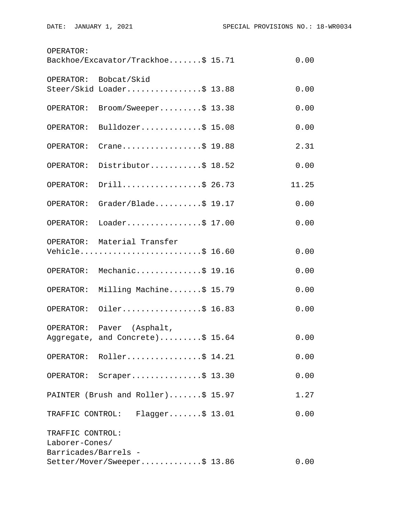| OPERATOR:<br>Backhoe/Excavator/Trackhoe\$ 15.71<br>0.00 |                                                |  |       |  |  |
|---------------------------------------------------------|------------------------------------------------|--|-------|--|--|
| OPERATOR:                                               | Bobcat/Skid                                    |  |       |  |  |
|                                                         | Steer/Skid Loader\$ 13.88                      |  | 0.00  |  |  |
| OPERATOR:                                               | Broom/Sweeper\$ 13.38                          |  | 0.00  |  |  |
| OPERATOR:                                               | Bulldozer\$ $15.08$                            |  | 0.00  |  |  |
| OPERATOR:                                               | Crane\$ 19.88                                  |  | 2.31  |  |  |
| OPERATOR:                                               | Distributor\$ 18.52                            |  | 0.00  |  |  |
| OPERATOR:                                               | Drill\$ 26.73                                  |  | 11.25 |  |  |
| OPERATOR:                                               | Grader/Blade\$ 19.17                           |  | 0.00  |  |  |
| OPERATOR:                                               | Loader\$ 17.00                                 |  | 0.00  |  |  |
|                                                         | OPERATOR: Material Transfer<br>Vehicle\$ 16.60 |  | 0.00  |  |  |
|                                                         | OPERATOR: Mechanic\$ 19.16                     |  | 0.00  |  |  |
| OPERATOR:                                               | Milling Machine\$ 15.79                        |  | 0.00  |  |  |
| OPERATOR:                                               | Oiler\$ 16.83                                  |  | 0.00  |  |  |
|                                                         | OPERATOR: Paver (Asphalt,                      |  |       |  |  |
|                                                         | Aggregate, and Concrete)\$ 15.64               |  | 0.00  |  |  |
|                                                         | OPERATOR: Roller\$ 14.21                       |  | 0.00  |  |  |
|                                                         | OPERATOR: Scraper\$ 13.30                      |  | 0.00  |  |  |
|                                                         | PAINTER (Brush and Roller)\$ 15.97             |  | 1.27  |  |  |
|                                                         | TRAFFIC CONTROL: Flagger\$ 13.01               |  | 0.00  |  |  |
| TRAFFIC CONTROL:<br>Laborer-Cones/                      |                                                |  |       |  |  |
| Barricades/Barrels -                                    | Setter/Mover/Sweeper\$ 13.86                   |  | 0.00  |  |  |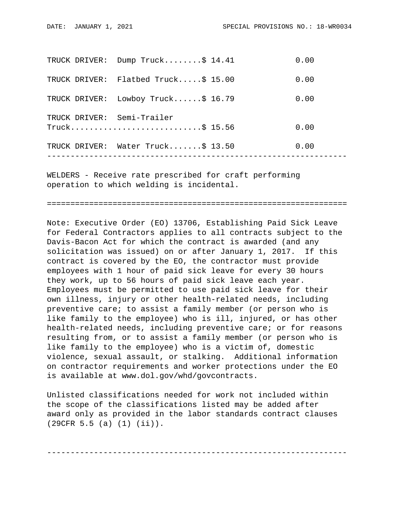|               | TRUCK DRIVER: Dump Truck\$ 14.41  | 0.00 |
|---------------|-----------------------------------|------|
| TRUCK DRIVER: | Flatbed Truck $$15.00$            | 0.00 |
| TRUCK DRIVER: | Lowboy Truck $$16.79$             | 0.00 |
|               | TRUCK DRIVER: Semi-Trailer        |      |
|               |                                   | 0.00 |
|               | TRUCK DRIVER: Water Truck\$ 13.50 | 0.00 |
|               |                                   |      |

WELDERS - Receive rate prescribed for craft performing operation to which welding is incidental.

================================================================

Note: Executive Order (EO) 13706, Establishing Paid Sick Leave for Federal Contractors applies to all contracts subject to the Davis-Bacon Act for which the contract is awarded (and any solicitation was issued) on or after January 1, 2017. If this contract is covered by the EO, the contractor must provide employees with 1 hour of paid sick leave for every 30 hours they work, up to 56 hours of paid sick leave each year. Employees must be permitted to use paid sick leave for their own illness, injury or other health-related needs, including preventive care; to assist a family member (or person who is like family to the employee) who is ill, injured, or has other health-related needs, including preventive care; or for reasons resulting from, or to assist a family member (or person who is like family to the employee) who is a victim of, domestic violence, sexual assault, or stalking. Additional information on contractor requirements and worker protections under the EO is available at www.dol.gov/whd/govcontracts.

Unlisted classifications needed for work not included within the scope of the classifications listed may be added after award only as provided in the labor standards contract clauses (29CFR 5.5 (a) (1) (ii)).

----------------------------------------------------------------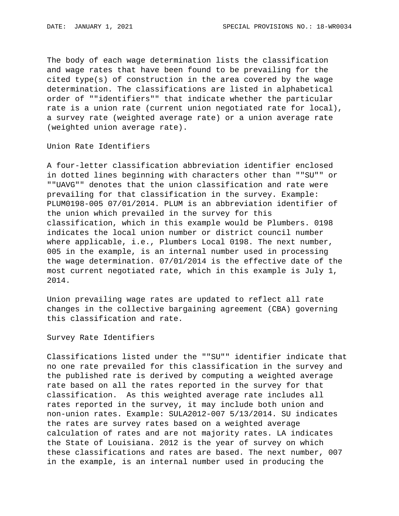The body of each wage determination lists the classification and wage rates that have been found to be prevailing for the cited type(s) of construction in the area covered by the wage determination. The classifications are listed in alphabetical order of ""identifiers"" that indicate whether the particular rate is a union rate (current union negotiated rate for local), a survey rate (weighted average rate) or a union average rate (weighted union average rate).

Union Rate Identifiers

A four-letter classification abbreviation identifier enclosed in dotted lines beginning with characters other than ""SU"" or ""UAVG"" denotes that the union classification and rate were prevailing for that classification in the survey. Example: PLUM0198-005 07/01/2014. PLUM is an abbreviation identifier of the union which prevailed in the survey for this classification, which in this example would be Plumbers. 0198 indicates the local union number or district council number where applicable, i.e., Plumbers Local 0198. The next number, 005 in the example, is an internal number used in processing the wage determination. 07/01/2014 is the effective date of the most current negotiated rate, which in this example is July 1, 2014.

Union prevailing wage rates are updated to reflect all rate changes in the collective bargaining agreement (CBA) governing this classification and rate.

Survey Rate Identifiers

Classifications listed under the ""SU"" identifier indicate that no one rate prevailed for this classification in the survey and the published rate is derived by computing a weighted average rate based on all the rates reported in the survey for that classification. As this weighted average rate includes all rates reported in the survey, it may include both union and non-union rates. Example: SULA2012-007 5/13/2014. SU indicates the rates are survey rates based on a weighted average calculation of rates and are not majority rates. LA indicates the State of Louisiana. 2012 is the year of survey on which these classifications and rates are based. The next number, 007 in the example, is an internal number used in producing the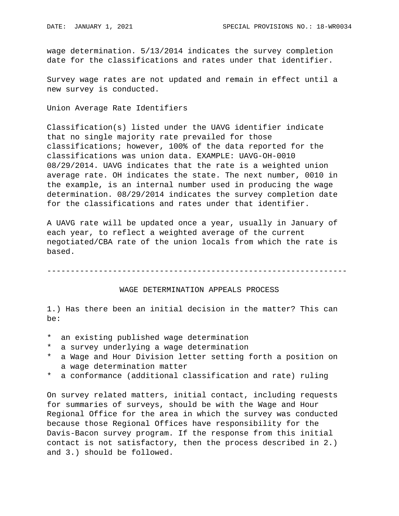wage determination. 5/13/2014 indicates the survey completion date for the classifications and rates under that identifier.

Survey wage rates are not updated and remain in effect until a new survey is conducted.

Union Average Rate Identifiers

Classification(s) listed under the UAVG identifier indicate that no single majority rate prevailed for those classifications; however, 100% of the data reported for the classifications was union data. EXAMPLE: UAVG-OH-0010 08/29/2014. UAVG indicates that the rate is a weighted union average rate. OH indicates the state. The next number, 0010 in the example, is an internal number used in producing the wage determination. 08/29/2014 indicates the survey completion date for the classifications and rates under that identifier.

A UAVG rate will be updated once a year, usually in January of each year, to reflect a weighted average of the current negotiated/CBA rate of the union locals from which the rate is based.

----------------------------------------------------------------

## WAGE DETERMINATION APPEALS PROCESS

1.) Has there been an initial decision in the matter? This can be:

- \* an existing published wage determination
- a survey underlying a wage determination
- \* a Wage and Hour Division letter setting forth a position on a wage determination matter
- \* a conformance (additional classification and rate) ruling

On survey related matters, initial contact, including requests for summaries of surveys, should be with the Wage and Hour Regional Office for the area in which the survey was conducted because those Regional Offices have responsibility for the Davis-Bacon survey program. If the response from this initial contact is not satisfactory, then the process described in 2.) and 3.) should be followed.